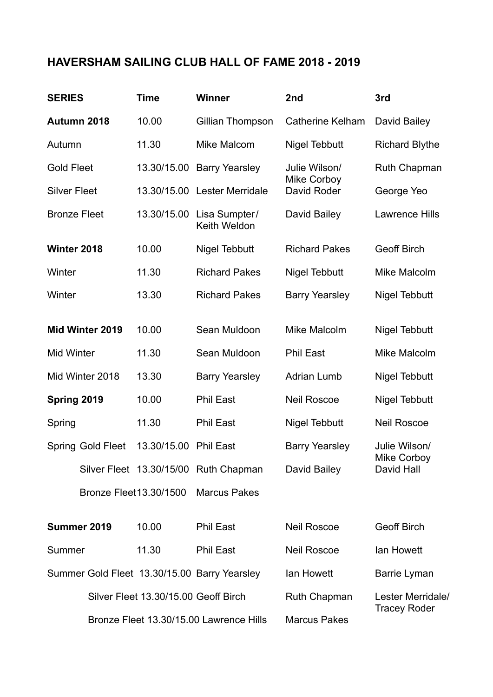## **HAVERSHAM SAILING CLUB HALL OF FAME 2018 - 2019**

| <b>SERIES</b>                                |                   | <b>Time</b>             | <b>Winner</b>                           | 2nd                        | 3rd                                               |
|----------------------------------------------|-------------------|-------------------------|-----------------------------------------|----------------------------|---------------------------------------------------|
| Autumn 2018                                  |                   | 10.00                   | Gillian Thompson                        | <b>Catherine Kelham</b>    | David Bailey                                      |
| Autumn                                       |                   | 11.30                   | Mike Malcom                             | Nigel Tebbutt              | <b>Richard Blythe</b>                             |
| <b>Gold Fleet</b>                            |                   | 13.30/15.00             | <b>Barry Yearsley</b>                   | Julie Wilson/              | <b>Ruth Chapman</b>                               |
| <b>Silver Fleet</b>                          |                   | 13.30/15.00             | Lester Merridale                        | Mike Corboy<br>David Roder | George Yeo                                        |
| <b>Bronze Fleet</b>                          |                   | 13.30/15.00             | Lisa Sumpter/<br>Keith Weldon           | David Bailey               | <b>Lawrence Hills</b>                             |
| Winter 2018                                  |                   | 10.00                   | <b>Nigel Tebbutt</b>                    | <b>Richard Pakes</b>       | <b>Geoff Birch</b>                                |
| Winter                                       |                   | 11.30                   | <b>Richard Pakes</b>                    | <b>Nigel Tebbutt</b>       | <b>Mike Malcolm</b>                               |
| Winter                                       |                   | 13.30                   | <b>Richard Pakes</b>                    | <b>Barry Yearsley</b>      | Nigel Tebbutt                                     |
| Mid Winter 2019                              |                   | 10.00                   | Sean Muldoon                            | <b>Mike Malcolm</b>        | Nigel Tebbutt                                     |
| Mid Winter                                   |                   | 11.30                   | Sean Muldoon                            | <b>Phil East</b>           | Mike Malcolm                                      |
| Mid Winter 2018                              |                   | 13.30                   | <b>Barry Yearsley</b>                   | <b>Adrian Lumb</b>         | Nigel Tebbutt                                     |
| Spring 2019                                  |                   | 10.00                   | <b>Phil East</b>                        | <b>Neil Roscoe</b>         | <b>Nigel Tebbutt</b>                              |
| Spring                                       |                   | 11.30                   | <b>Phil East</b>                        | <b>Nigel Tebbutt</b>       | <b>Neil Roscoe</b>                                |
|                                              | Spring Gold Fleet | 13.30/15.00             | <b>Phil East</b>                        | <b>Barry Yearsley</b>      | Julie Wilson/<br><b>Mike Corboy</b><br>David Hall |
|                                              |                   |                         | Silver Fleet 13.30/15/00 Ruth Chapman   | David Bailey               |                                                   |
|                                              |                   | Bronze Fleet 13.30/1500 | <b>Marcus Pakes</b>                     |                            |                                                   |
| Summer 2019                                  |                   | 10.00                   | <b>Phil East</b>                        | <b>Neil Roscoe</b>         | <b>Geoff Birch</b>                                |
| Summer                                       |                   | 11.30                   | <b>Phil East</b>                        | <b>Neil Roscoe</b>         | Ian Howett                                        |
| Summer Gold Fleet 13.30/15.00 Barry Yearsley |                   |                         | lan Howett                              | Barrie Lyman               |                                                   |
| Silver Fleet 13.30/15.00 Geoff Birch         |                   |                         |                                         | Ruth Chapman               | Lester Merridale/<br><b>Tracey Roder</b>          |
|                                              |                   |                         | Bronze Fleet 13.30/15.00 Lawrence Hills | <b>Marcus Pakes</b>        |                                                   |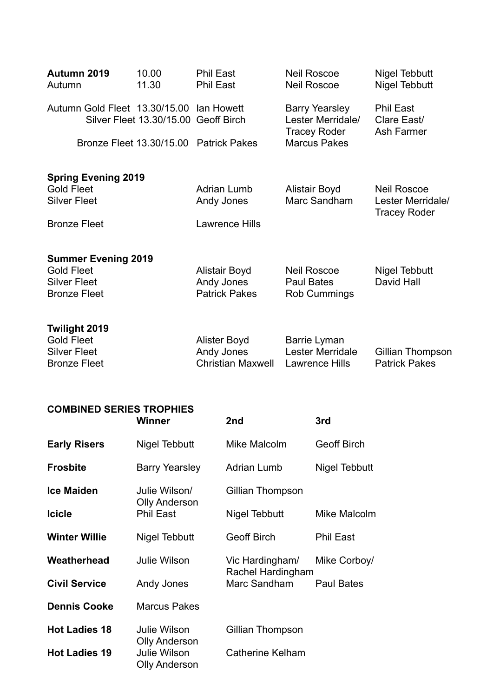| Autumn 2019<br>Autumn                           | 10.00<br>11.30                       | <b>Phil East</b><br>Phil East          | <b>Neil Roscoe</b><br><b>Neil Roscoe</b>                          | Nigel Tebbutt<br>Nigel Tebbutt                |
|-------------------------------------------------|--------------------------------------|----------------------------------------|-------------------------------------------------------------------|-----------------------------------------------|
| Autumn Gold Fleet 13.30/15.00 Ian Howett        | Silver Fleet 13.30/15.00 Geoff Birch |                                        | <b>Barry Yearsley</b><br>Lester Merridale/<br><b>Tracey Roder</b> | <b>Phil East</b><br>Clare East/<br>Ash Farmer |
|                                                 | Bronze Fleet 13.30/15.00             | <b>Patrick Pakes</b>                   | <b>Marcus Pakes</b>                                               |                                               |
| <b>Spring Evening 2019</b><br><b>Gold Fleet</b> |                                      | <b>Adrian Lumb</b>                     | <b>Alistair Boyd</b>                                              | <b>Neil Roscoe</b>                            |
| <b>Silver Fleet</b>                             |                                      | Andy Jones                             | Marc Sandham                                                      | Lester Merridale/<br><b>Tracey Roder</b>      |
| <b>Bronze Fleet</b>                             |                                      | <b>Lawrence Hills</b>                  |                                                                   |                                               |
| <b>Summer Evening 2019</b>                      |                                      |                                        |                                                                   |                                               |
| <b>Gold Fleet</b><br><b>Silver Fleet</b>        |                                      | Alistair Boyd<br>Andy Jones            | <b>Neil Roscoe</b><br><b>Paul Bates</b>                           | <b>Nigel Tebbutt</b><br>David Hall            |
| <b>Bronze Fleet</b>                             |                                      | <b>Patrick Pakes</b>                   | Rob Cummings                                                      |                                               |
| Twilight 2019<br><b>Gold Fleet</b>              |                                      | Alister Boyd                           | Barrie Lyman                                                      |                                               |
| <b>Silver Fleet</b><br><b>Bronze Fleet</b>      |                                      | Andy Jones<br><b>Christian Maxwell</b> | Lester Merridale<br>Lawrence Hills                                | Gillian Thompson<br><b>Patrick Pakes</b>      |
|                                                 |                                      |                                        |                                                                   |                                               |

## **COMBINED SERIES TROPHIES**

| <b>COMBINED SERIES TROPHIES</b> | Winner                                      | 2nd                                  | 3rd                |
|---------------------------------|---------------------------------------------|--------------------------------------|--------------------|
| <b>Early Risers</b>             | Nigel Tebbutt                               | Mike Malcolm                         | <b>Geoff Birch</b> |
| <b>Frosbite</b>                 | Barry Yearsley                              | <b>Adrian Lumb</b>                   | Nigel Tebbutt      |
| <b>Ice Maiden</b>               | Julie Wilson/                               | Gillian Thompson                     |                    |
| <b>Icicle</b>                   | <b>Olly Anderson</b><br><b>Phil East</b>    | Nigel Tebbutt                        | Mike Malcolm       |
| <b>Winter Willie</b>            | Nigel Tebbutt                               | <b>Geoff Birch</b>                   | <b>Phil East</b>   |
| Weatherhead                     | Julie Wilson                                | Vic Hardingham/<br>Rachel Hardingham | Mike Corboy/       |
| <b>Civil Service</b>            | Andy Jones                                  | Marc Sandham                         | <b>Paul Bates</b>  |
| <b>Dennis Cooke</b>             | <b>Marcus Pakes</b>                         |                                      |                    |
| <b>Hot Ladies 18</b>            | <b>Julie Wilson</b><br><b>Olly Anderson</b> | Gillian Thompson                     |                    |
| <b>Hot Ladies 19</b>            | <b>Julie Wilson</b><br><b>Olly Anderson</b> | <b>Catherine Kelham</b>              |                    |